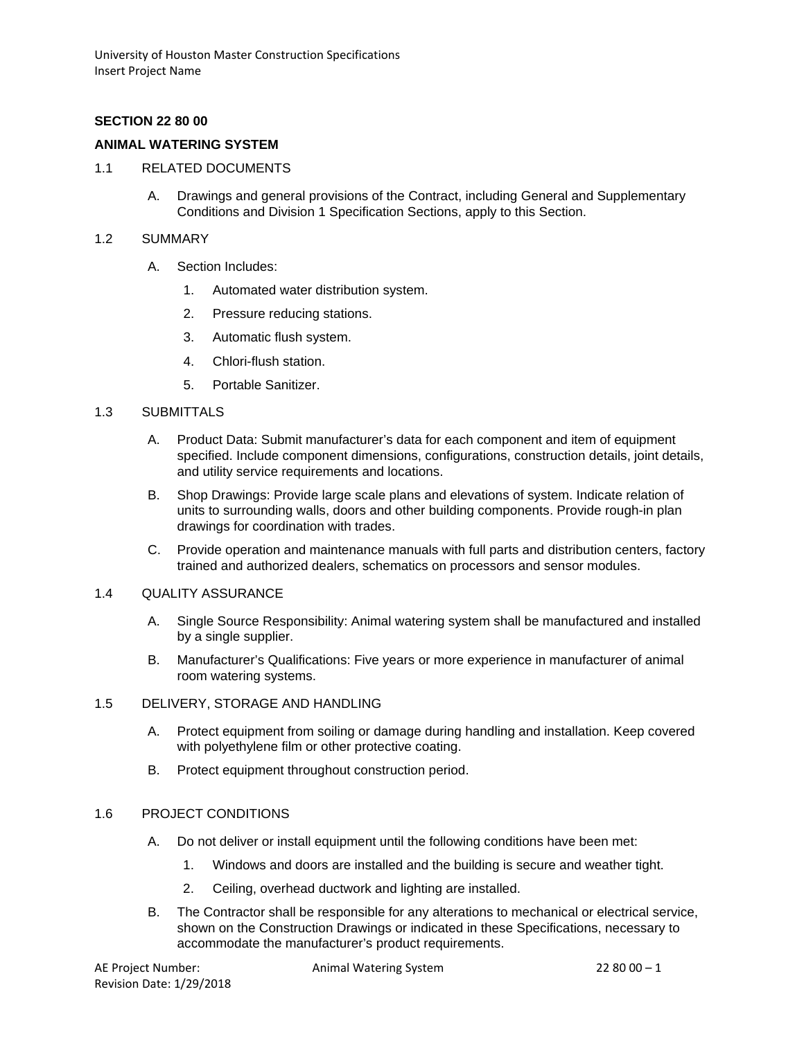### **SECTION 22 80 00**

### **ANIMAL WATERING SYSTEM**

- 1.1 RELATED DOCUMENTS
	- A. Drawings and general provisions of the Contract, including General and Supplementary Conditions and Division 1 Specification Sections, apply to this Section.
- 1.2 SUMMARY
	- A. Section Includes:
		- 1. Automated water distribution system.
		- 2. Pressure reducing stations.
		- 3. Automatic flush system.
		- 4. Chlori-flush station.
		- 5. Portable Sanitizer.

#### 1.3 SUBMITTALS

- A. Product Data: Submit manufacturer's data for each component and item of equipment specified. Include component dimensions, configurations, construction details, joint details, and utility service requirements and locations.
- B. Shop Drawings: Provide large scale plans and elevations of system. Indicate relation of units to surrounding walls, doors and other building components. Provide rough-in plan drawings for coordination with trades.
- C. Provide operation and maintenance manuals with full parts and distribution centers, factory trained and authorized dealers, schematics on processors and sensor modules.

#### 1.4 QUALITY ASSURANCE

- A. Single Source Responsibility: Animal watering system shall be manufactured and installed by a single supplier.
- B. Manufacturer's Qualifications: Five years or more experience in manufacturer of animal room watering systems.

#### 1.5 DELIVERY, STORAGE AND HANDLING

- A. Protect equipment from soiling or damage during handling and installation. Keep covered with polyethylene film or other protective coating.
- B. Protect equipment throughout construction period.

#### 1.6 PROJECT CONDITIONS

- A. Do not deliver or install equipment until the following conditions have been met:
	- 1. Windows and doors are installed and the building is secure and weather tight.
	- 2. Ceiling, overhead ductwork and lighting are installed.
- B. The Contractor shall be responsible for any alterations to mechanical or electrical service, shown on the Construction Drawings or indicated in these Specifications, necessary to accommodate the manufacturer's product requirements.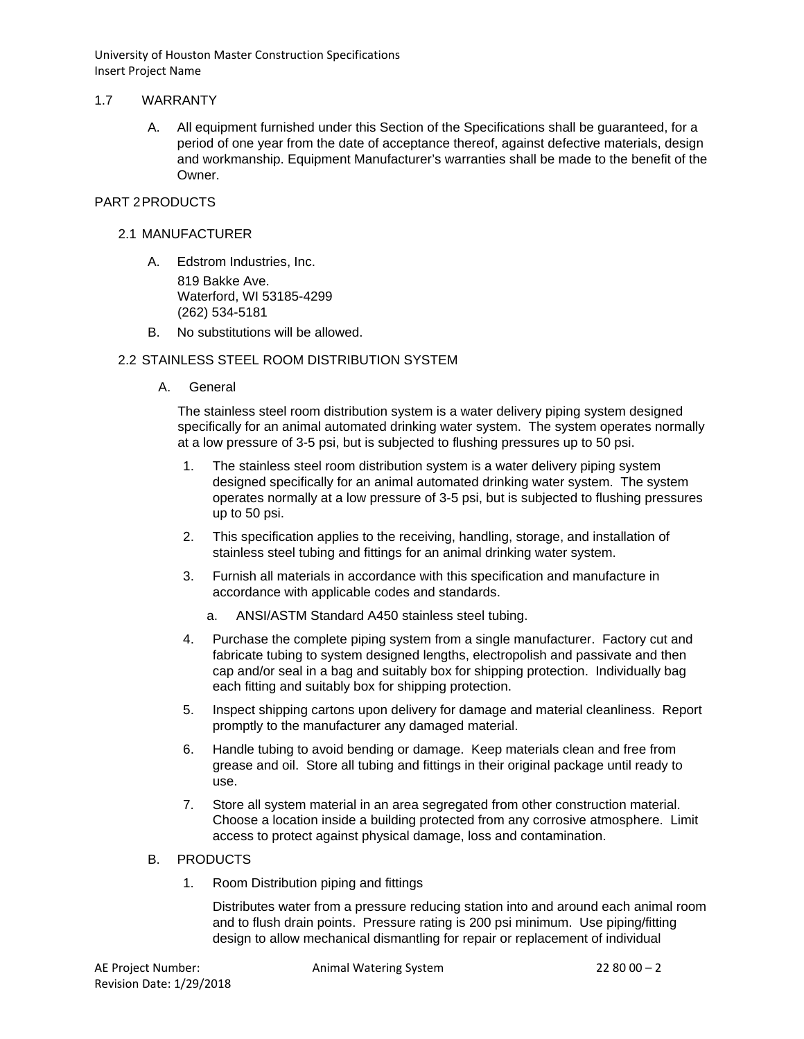### 1.7 WARRANTY

A. All equipment furnished under this Section of the Specifications shall be guaranteed, for a period of one year from the date of acceptance thereof, against defective materials, design and workmanship. Equipment Manufacturer's warranties shall be made to the benefit of the **Owner** 

## PART 2PRODUCTS

- 2.1 MANUFACTURER
	- A. Edstrom Industries, Inc. 819 Bakke Ave. Waterford, WI 53185-4299 (262) 534-5181
	- B. No substitutions will be allowed.

### 2.2 STAINLESS STEEL ROOM DISTRIBUTION SYSTEM

A. General

The stainless steel room distribution system is a water delivery piping system designed specifically for an animal automated drinking water system. The system operates normally at a low pressure of 3-5 psi, but is subjected to flushing pressures up to 50 psi.

- 1. The stainless steel room distribution system is a water delivery piping system designed specifically for an animal automated drinking water system. The system operates normally at a low pressure of 3-5 psi, but is subjected to flushing pressures up to 50 psi.
- 2. This specification applies to the receiving, handling, storage, and installation of stainless steel tubing and fittings for an animal drinking water system.
- 3. Furnish all materials in accordance with this specification and manufacture in accordance with applicable codes and standards.
	- a. ANSI/ASTM Standard A450 stainless steel tubing.
- 4. Purchase the complete piping system from a single manufacturer. Factory cut and fabricate tubing to system designed lengths, electropolish and passivate and then cap and/or seal in a bag and suitably box for shipping protection. Individually bag each fitting and suitably box for shipping protection.
- 5. Inspect shipping cartons upon delivery for damage and material cleanliness. Report promptly to the manufacturer any damaged material.
- 6. Handle tubing to avoid bending or damage. Keep materials clean and free from grease and oil. Store all tubing and fittings in their original package until ready to use.
- 7. Store all system material in an area segregated from other construction material. Choose a location inside a building protected from any corrosive atmosphere. Limit access to protect against physical damage, loss and contamination.

#### B. PRODUCTS

1. Room Distribution piping and fittings

Distributes water from a pressure reducing station into and around each animal room and to flush drain points. Pressure rating is 200 psi minimum. Use piping/fitting design to allow mechanical dismantling for repair or replacement of individual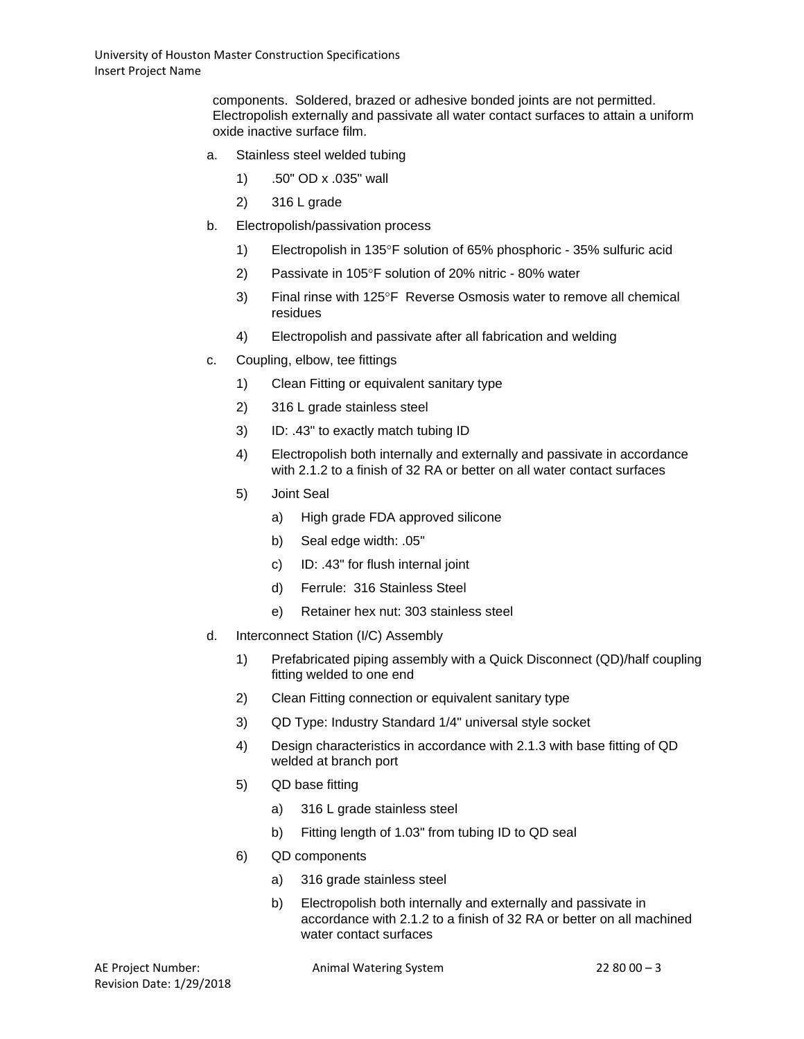components. Soldered, brazed or adhesive bonded joints are not permitted. Electropolish externally and passivate all water contact surfaces to attain a uniform oxide inactive surface film.

- a. Stainless steel welded tubing
	- 1) .50" OD x .035" wall
	- 2) 316 L grade
- b. Electropolish/passivation process
	- 1) Electropolish in 135°F solution of 65% phosphoric 35% sulfuric acid
	- 2) Passivate in 105°F solution of 20% nitric 80% water
	- 3) Final rinse with 125°F Reverse Osmosis water to remove all chemical residues
	- 4) Electropolish and passivate after all fabrication and welding
- c. Coupling, elbow, tee fittings
	- 1) Clean Fitting or equivalent sanitary type
	- 2) 316 L grade stainless steel
	- 3) ID: .43" to exactly match tubing ID
	- 4) Electropolish both internally and externally and passivate in accordance with 2.1.2 to a finish of 32 RA or better on all water contact surfaces
	- 5) Joint Seal
		- a) High grade FDA approved silicone
		- b) Seal edge width: .05"
		- c) ID: .43" for flush internal joint
		- d) Ferrule: 316 Stainless Steel
		- e) Retainer hex nut: 303 stainless steel
- d. Interconnect Station (I/C) Assembly
	- 1) Prefabricated piping assembly with a Quick Disconnect (QD)/half coupling fitting welded to one end
	- 2) Clean Fitting connection or equivalent sanitary type
	- 3) QD Type: Industry Standard 1/4" universal style socket
	- 4) Design characteristics in accordance with 2.1.3 with base fitting of QD welded at branch port
	- 5) QD base fitting
		- a) 316 L grade stainless steel
		- b) Fitting length of 1.03" from tubing ID to QD seal
	- 6) QD components
		- a) 316 grade stainless steel
		- b) Electropolish both internally and externally and passivate in accordance with 2.1.2 to a finish of 32 RA or better on all machined water contact surfaces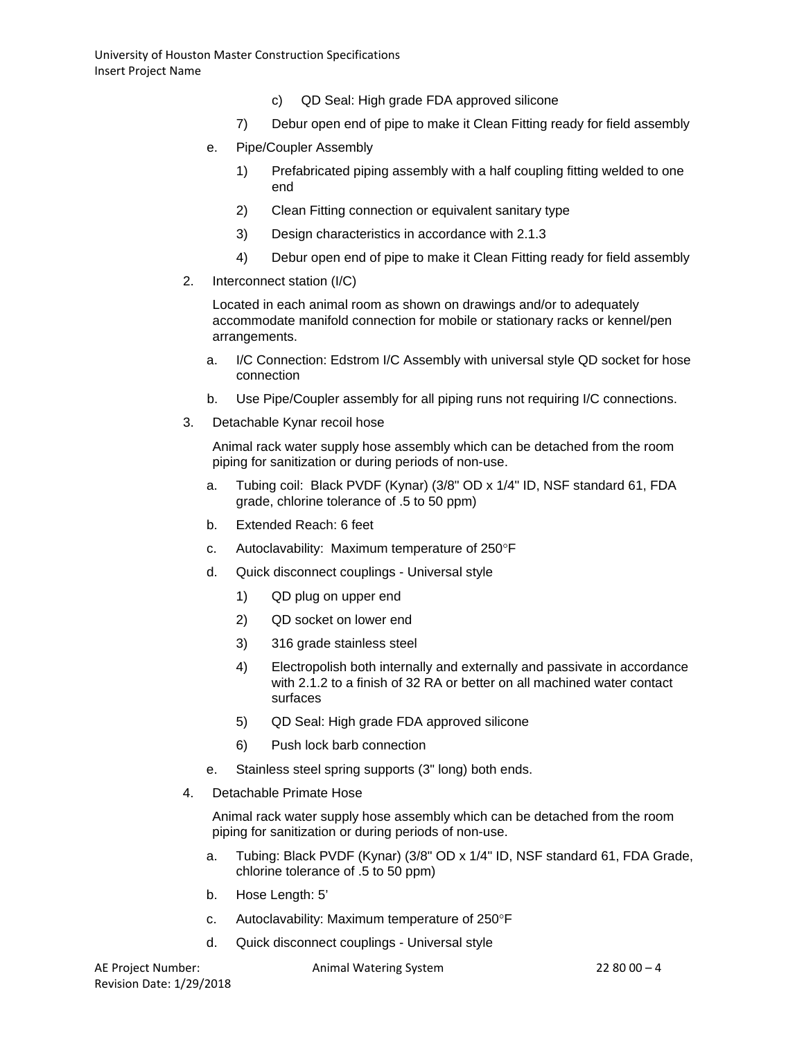- c) QD Seal: High grade FDA approved silicone
- 7) Debur open end of pipe to make it Clean Fitting ready for field assembly
- e. Pipe/Coupler Assembly
	- 1) Prefabricated piping assembly with a half coupling fitting welded to one end
	- 2) Clean Fitting connection or equivalent sanitary type
	- 3) Design characteristics in accordance with 2.1.3
	- 4) Debur open end of pipe to make it Clean Fitting ready for field assembly
- 2. Interconnect station (I/C)

Located in each animal room as shown on drawings and/or to adequately accommodate manifold connection for mobile or stationary racks or kennel/pen arrangements.

- a. I/C Connection: Edstrom I/C Assembly with universal style QD socket for hose connection
- b. Use Pipe/Coupler assembly for all piping runs not requiring I/C connections.
- 3. Detachable Kynar recoil hose

Animal rack water supply hose assembly which can be detached from the room piping for sanitization or during periods of non-use.

- a. Tubing coil: Black PVDF (Kynar) (3/8" OD x 1/4" ID, NSF standard 61, FDA grade, chlorine tolerance of .5 to 50 ppm)
- b. Extended Reach: 6 feet
- c. Autoclavability: Maximum temperature of 250°F
- d. Quick disconnect couplings Universal style
	- 1) QD plug on upper end
	- 2) QD socket on lower end
	- 3) 316 grade stainless steel
	- 4) Electropolish both internally and externally and passivate in accordance with 2.1.2 to a finish of 32 RA or better on all machined water contact surfaces
	- 5) QD Seal: High grade FDA approved silicone
	- 6) Push lock barb connection
- e. Stainless steel spring supports (3" long) both ends.
- 4. Detachable Primate Hose

Animal rack water supply hose assembly which can be detached from the room piping for sanitization or during periods of non-use.

- a. Tubing: Black PVDF (Kynar) (3/8" OD x 1/4" ID, NSF standard 61, FDA Grade, chlorine tolerance of .5 to 50 ppm)
- b. Hose Length: 5'
- c. Autoclavability: Maximum temperature of 250°F
- d. Quick disconnect couplings Universal style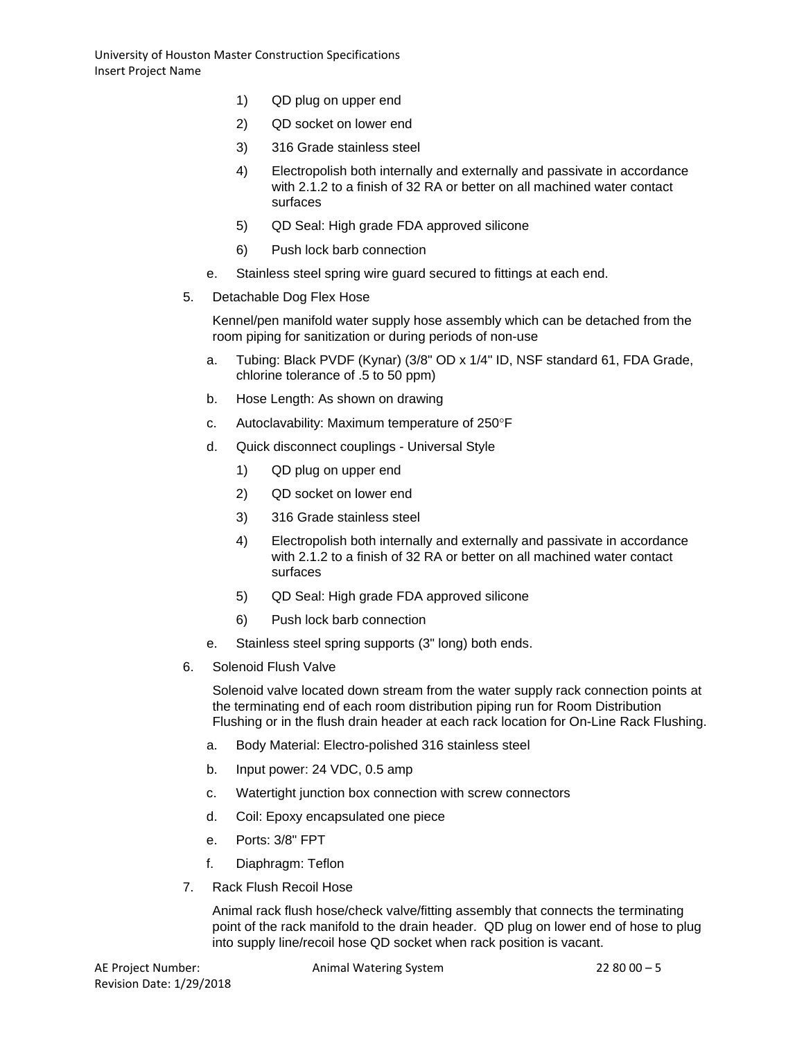- 1) QD plug on upper end
- 2) QD socket on lower end
- 3) 316 Grade stainless steel
- 4) Electropolish both internally and externally and passivate in accordance with 2.1.2 to a finish of 32 RA or better on all machined water contact surfaces
- 5) QD Seal: High grade FDA approved silicone
- 6) Push lock barb connection
- e. Stainless steel spring wire guard secured to fittings at each end.
- 5. Detachable Dog Flex Hose

Kennel/pen manifold water supply hose assembly which can be detached from the room piping for sanitization or during periods of non-use

- a. Tubing: Black PVDF (Kynar) (3/8" OD x 1/4" ID, NSF standard 61, FDA Grade, chlorine tolerance of .5 to 50 ppm)
- b. Hose Length: As shown on drawing
- c. Autoclavability: Maximum temperature of 250°F
- d. Quick disconnect couplings Universal Style
	- 1) QD plug on upper end
	- 2) QD socket on lower end
	- 3) 316 Grade stainless steel
	- 4) Electropolish both internally and externally and passivate in accordance with 2.1.2 to a finish of 32 RA or better on all machined water contact surfaces
	- 5) QD Seal: High grade FDA approved silicone
	- 6) Push lock barb connection
- e. Stainless steel spring supports (3" long) both ends.
- 6. Solenoid Flush Valve

Solenoid valve located down stream from the water supply rack connection points at the terminating end of each room distribution piping run for Room Distribution Flushing or in the flush drain header at each rack location for On-Line Rack Flushing.

- a. Body Material: Electro-polished 316 stainless steel
- b. Input power: 24 VDC, 0.5 amp
- c. Watertight junction box connection with screw connectors
- d. Coil: Epoxy encapsulated one piece
- e. Ports: 3/8" FPT
- f. Diaphragm: Teflon
- 7. Rack Flush Recoil Hose

Animal rack flush hose/check valve/fitting assembly that connects the terminating point of the rack manifold to the drain header. QD plug on lower end of hose to plug into supply line/recoil hose QD socket when rack position is vacant.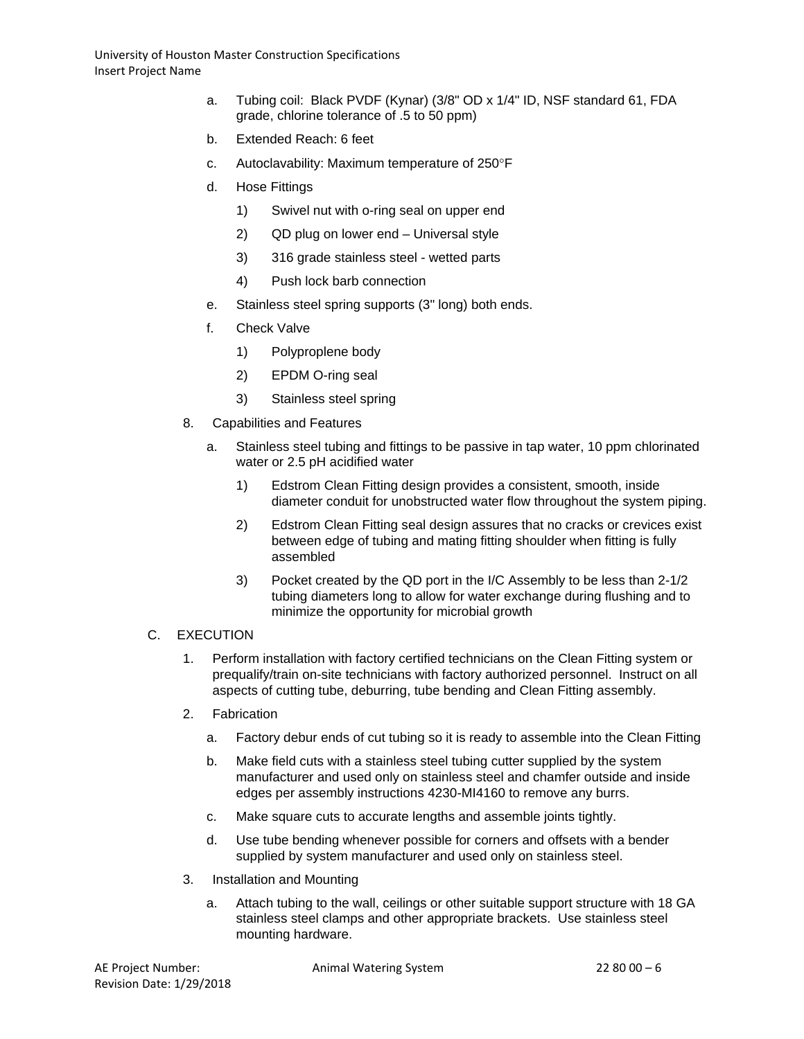- a. Tubing coil: Black PVDF (Kynar) (3/8" OD x 1/4" ID, NSF standard 61, FDA grade, chlorine tolerance of .5 to 50 ppm)
- b. Extended Reach: 6 feet
- c. Autoclavability: Maximum temperature of 250°F
- d. Hose Fittings
	- 1) Swivel nut with o-ring seal on upper end
	- 2) QD plug on lower end Universal style
	- 3) 316 grade stainless steel wetted parts
	- 4) Push lock barb connection
- e. Stainless steel spring supports (3" long) both ends.
- f. Check Valve
	- 1) Polyproplene body
	- 2) EPDM O-ring seal
	- 3) Stainless steel spring
- 8. Capabilities and Features
	- a. Stainless steel tubing and fittings to be passive in tap water, 10 ppm chlorinated water or 2.5 pH acidified water
		- 1) Edstrom Clean Fitting design provides a consistent, smooth, inside diameter conduit for unobstructed water flow throughout the system piping.
		- 2) Edstrom Clean Fitting seal design assures that no cracks or crevices exist between edge of tubing and mating fitting shoulder when fitting is fully assembled
		- 3) Pocket created by the QD port in the I/C Assembly to be less than 2-1/2 tubing diameters long to allow for water exchange during flushing and to minimize the opportunity for microbial growth

### C. EXECUTION

- 1. Perform installation with factory certified technicians on the Clean Fitting system or prequalify/train on-site technicians with factory authorized personnel. Instruct on all aspects of cutting tube, deburring, tube bending and Clean Fitting assembly.
- 2. Fabrication
	- a. Factory debur ends of cut tubing so it is ready to assemble into the Clean Fitting
	- b. Make field cuts with a stainless steel tubing cutter supplied by the system manufacturer and used only on stainless steel and chamfer outside and inside edges per assembly instructions 4230-MI4160 to remove any burrs.
	- c. Make square cuts to accurate lengths and assemble joints tightly.
	- d. Use tube bending whenever possible for corners and offsets with a bender supplied by system manufacturer and used only on stainless steel.
- 3. Installation and Mounting
	- a. Attach tubing to the wall, ceilings or other suitable support structure with 18 GA stainless steel clamps and other appropriate brackets. Use stainless steel mounting hardware.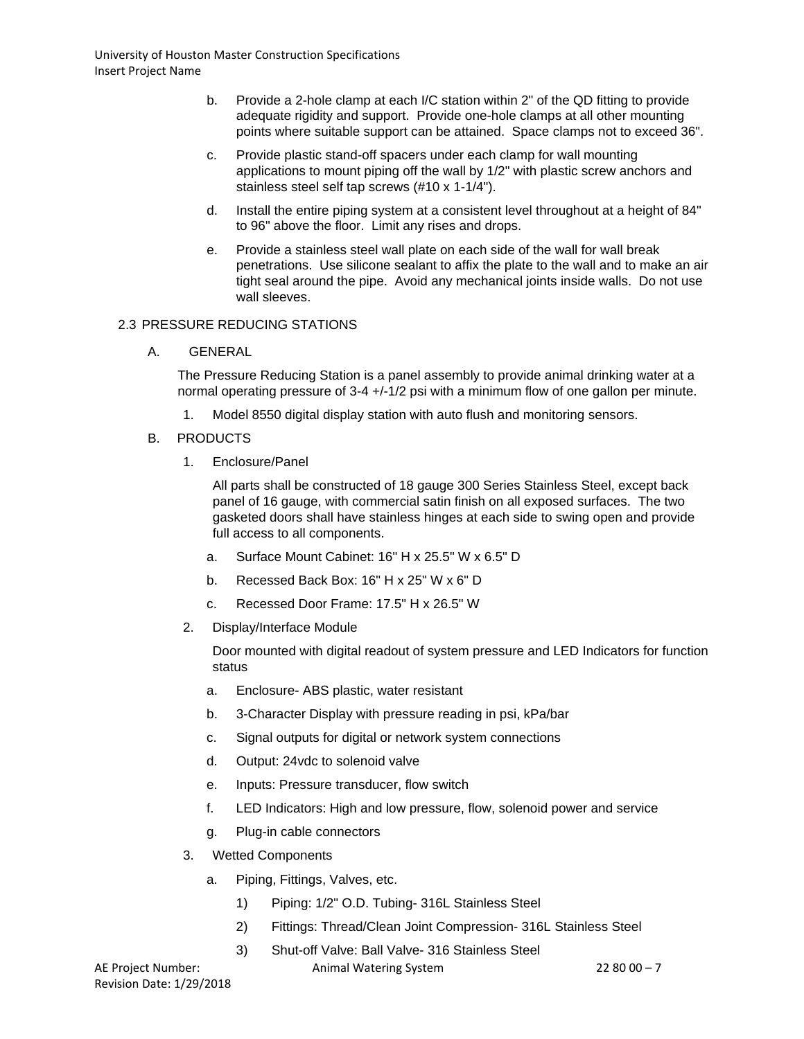- b. Provide a 2-hole clamp at each I/C station within 2" of the QD fitting to provide adequate rigidity and support. Provide one-hole clamps at all other mounting points where suitable support can be attained. Space clamps not to exceed 36".
- c. Provide plastic stand-off spacers under each clamp for wall mounting applications to mount piping off the wall by 1/2" with plastic screw anchors and stainless steel self tap screws (#10 x 1-1/4").
- d. Install the entire piping system at a consistent level throughout at a height of 84" to 96" above the floor. Limit any rises and drops.
- e. Provide a stainless steel wall plate on each side of the wall for wall break penetrations. Use silicone sealant to affix the plate to the wall and to make an air tight seal around the pipe. Avoid any mechanical joints inside walls. Do not use wall sleeves.

## 2.3 PRESSURE REDUCING STATIONS

A. GENERAL

The Pressure Reducing Station is a panel assembly to provide animal drinking water at a normal operating pressure of 3-4 +/-1/2 psi with a minimum flow of one gallon per minute.

- 1. Model 8550 digital display station with auto flush and monitoring sensors.
- B. PRODUCTS
	- 1. Enclosure/Panel

All parts shall be constructed of 18 gauge 300 Series Stainless Steel, except back panel of 16 gauge, with commercial satin finish on all exposed surfaces. The two gasketed doors shall have stainless hinges at each side to swing open and provide full access to all components.

- a. Surface Mount Cabinet: 16" H x 25.5" W x 6.5" D
- b. Recessed Back Box: 16" H x 25" W x 6" D
- c. Recessed Door Frame: 17.5" H x 26.5" W
- 2. Display/Interface Module

Door mounted with digital readout of system pressure and LED Indicators for function status

- a. Enclosure- ABS plastic, water resistant
- b. 3-Character Display with pressure reading in psi, kPa/bar
- c. Signal outputs for digital or network system connections
- d. Output: 24vdc to solenoid valve
- e. Inputs: Pressure transducer, flow switch
- f. LED Indicators: High and low pressure, flow, solenoid power and service
- g. Plug-in cable connectors
- 3. Wetted Components
	- a. Piping, Fittings, Valves, etc.
		- 1) Piping: 1/2" O.D. Tubing- 316L Stainless Steel
		- 2) Fittings: Thread/Clean Joint Compression- 316L Stainless Steel
		- 3) Shut-off Valve: Ball Valve- 316 Stainless Steel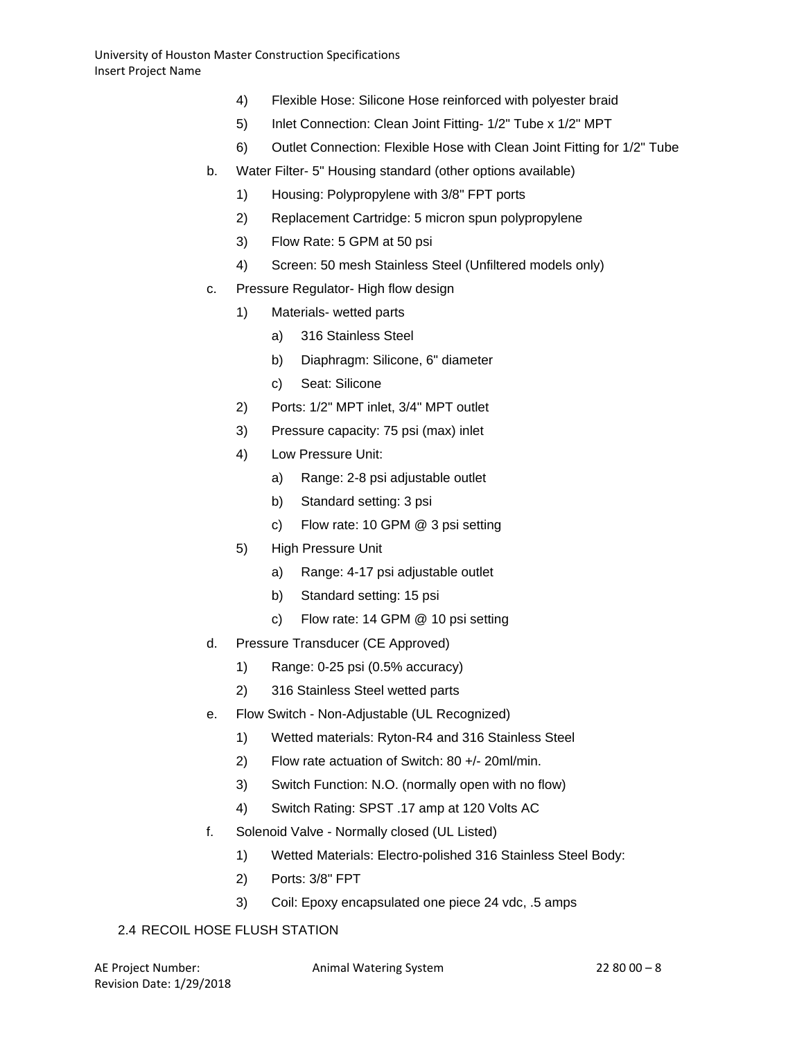- 4) Flexible Hose: Silicone Hose reinforced with polyester braid
- 5) Inlet Connection: Clean Joint Fitting- 1/2" Tube x 1/2" MPT
- 6) Outlet Connection: Flexible Hose with Clean Joint Fitting for 1/2" Tube
- b. Water Filter- 5" Housing standard (other options available)
	- 1) Housing: Polypropylene with 3/8" FPT ports
	- 2) Replacement Cartridge: 5 micron spun polypropylene
	- 3) Flow Rate: 5 GPM at 50 psi
	- 4) Screen: 50 mesh Stainless Steel (Unfiltered models only)
- c. Pressure Regulator- High flow design
	- 1) Materials- wetted parts
		- a) 316 Stainless Steel
		- b) Diaphragm: Silicone, 6" diameter
		- c) Seat: Silicone
	- 2) Ports: 1/2" MPT inlet, 3/4" MPT outlet
	- 3) Pressure capacity: 75 psi (max) inlet
	- 4) Low Pressure Unit:
		- a) Range: 2-8 psi adjustable outlet
		- b) Standard setting: 3 psi
		- c) Flow rate: 10 GPM @ 3 psi setting
	- 5) High Pressure Unit
		- a) Range: 4-17 psi adjustable outlet
		- b) Standard setting: 15 psi
		- c) Flow rate: 14 GPM @ 10 psi setting
- d. Pressure Transducer (CE Approved)
	- 1) Range: 0-25 psi (0.5% accuracy)
	- 2) 316 Stainless Steel wetted parts
- e. Flow Switch Non-Adjustable (UL Recognized)
	- 1) Wetted materials: Ryton-R4 and 316 Stainless Steel
	- 2) Flow rate actuation of Switch: 80 +/- 20ml/min.
	- 3) Switch Function: N.O. (normally open with no flow)
	- 4) Switch Rating: SPST .17 amp at 120 Volts AC
- f. Solenoid Valve Normally closed (UL Listed)
	- 1) Wetted Materials: Electro-polished 316 Stainless Steel Body:
	- 2) Ports: 3/8" FPT
	- 3) Coil: Epoxy encapsulated one piece 24 vdc, .5 amps

# 2.4 RECOIL HOSE FLUSH STATION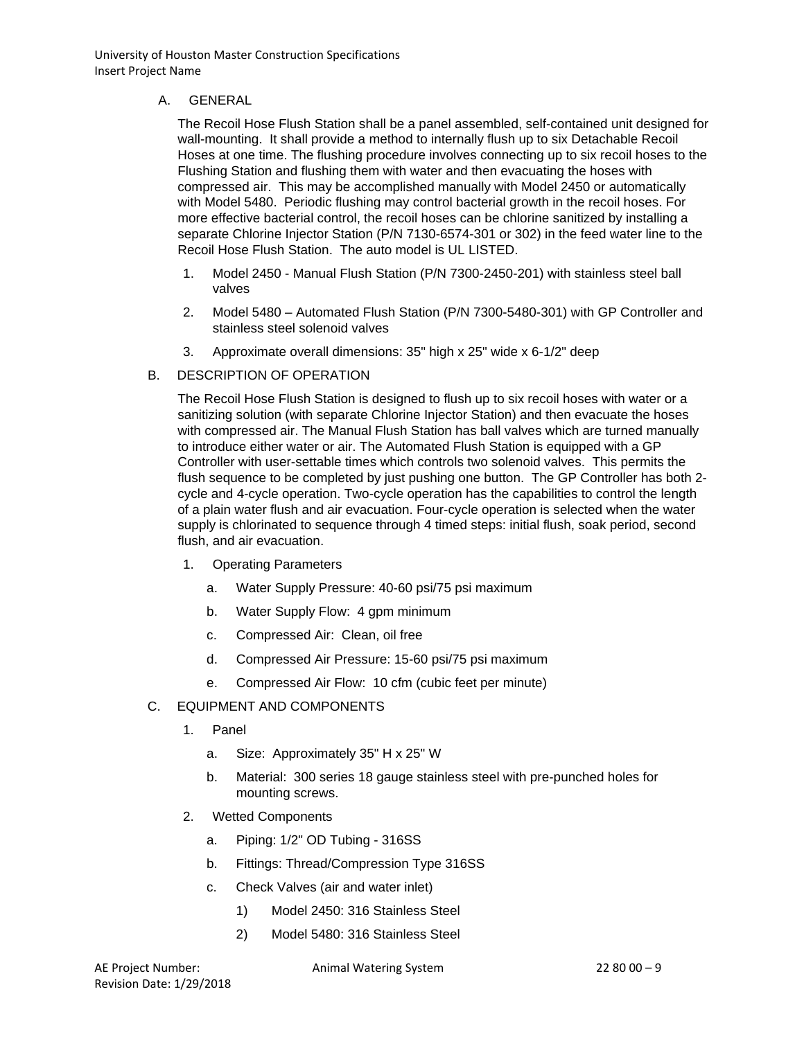## A. GENERAL

The Recoil Hose Flush Station shall be a panel assembled, self-contained unit designed for wall-mounting. It shall provide a method to internally flush up to six Detachable Recoil Hoses at one time. The flushing procedure involves connecting up to six recoil hoses to the Flushing Station and flushing them with water and then evacuating the hoses with compressed air. This may be accomplished manually with Model 2450 or automatically with Model 5480. Periodic flushing may control bacterial growth in the recoil hoses. For more effective bacterial control, the recoil hoses can be chlorine sanitized by installing a separate Chlorine Injector Station (P/N 7130-6574-301 or 302) in the feed water line to the Recoil Hose Flush Station. The auto model is UL LISTED.

- 1. Model 2450 Manual Flush Station (P/N 7300-2450-201) with stainless steel ball valves
- 2. Model 5480 Automated Flush Station (P/N 7300-5480-301) with GP Controller and stainless steel solenoid valves
- 3. Approximate overall dimensions: 35" high x 25" wide x 6-1/2" deep
- B. DESCRIPTION OF OPERATION

The Recoil Hose Flush Station is designed to flush up to six recoil hoses with water or a sanitizing solution (with separate Chlorine Injector Station) and then evacuate the hoses with compressed air. The Manual Flush Station has ball valves which are turned manually to introduce either water or air. The Automated Flush Station is equipped with a GP Controller with user-settable times which controls two solenoid valves. This permits the flush sequence to be completed by just pushing one button. The GP Controller has both 2 cycle and 4-cycle operation. Two-cycle operation has the capabilities to control the length of a plain water flush and air evacuation. Four-cycle operation is selected when the water supply is chlorinated to sequence through 4 timed steps: initial flush, soak period, second flush, and air evacuation.

- 1. Operating Parameters
	- a. Water Supply Pressure: 40-60 psi/75 psi maximum
	- b. Water Supply Flow: 4 gpm minimum
	- c. Compressed Air: Clean, oil free
	- d. Compressed Air Pressure: 15-60 psi/75 psi maximum
	- e. Compressed Air Flow: 10 cfm (cubic feet per minute)
- C. EQUIPMENT AND COMPONENTS
	- 1. Panel
		- a. Size: Approximately 35" H x 25" W
		- b. Material: 300 series 18 gauge stainless steel with pre-punched holes for mounting screws.
	- 2. Wetted Components
		- a. Piping: 1/2" OD Tubing 316SS
		- b. Fittings: Thread/Compression Type 316SS
		- c. Check Valves (air and water inlet)
			- 1) Model 2450: 316 Stainless Steel
			- 2) Model 5480: 316 Stainless Steel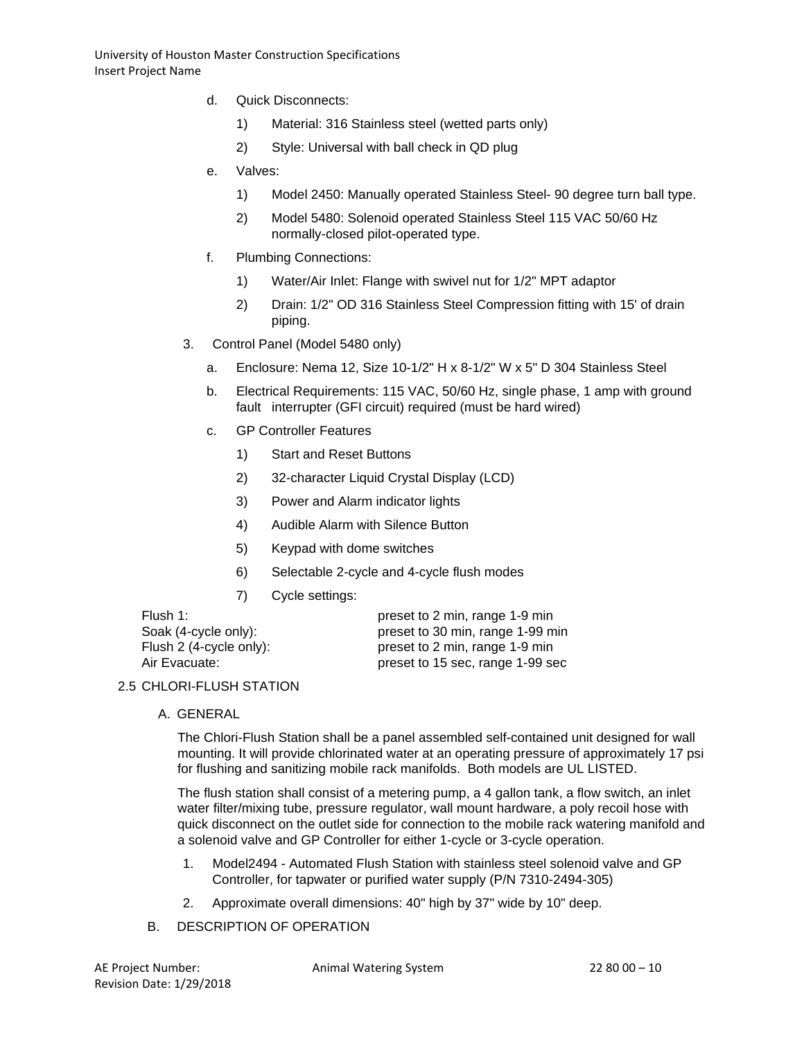- d. Quick Disconnects:
	- 1) Material: 316 Stainless steel (wetted parts only)
	- 2) Style: Universal with ball check in QD plug
- e. Valves:
	- 1) Model 2450: Manually operated Stainless Steel- 90 degree turn ball type.
	- 2) Model 5480: Solenoid operated Stainless Steel 115 VAC 50/60 Hz normally-closed pilot-operated type.
- f. Plumbing Connections:
	- 1) Water/Air Inlet: Flange with swivel nut for 1/2" MPT adaptor
	- 2) Drain: 1/2" OD 316 Stainless Steel Compression fitting with 15' of drain piping.
- 3. Control Panel (Model 5480 only)
	- a. Enclosure: Nema 12, Size 10-1/2" H x 8-1/2" W x 5" D 304 Stainless Steel
	- b. Electrical Requirements: 115 VAC, 50/60 Hz, single phase, 1 amp with ground fault interrupter (GFI circuit) required (must be hard wired)
	- c. GP Controller Features
		- 1) Start and Reset Buttons
		- 2) 32-character Liquid Crystal Display (LCD)
		- 3) Power and Alarm indicator lights
		- 4) Audible Alarm with Silence Button
		- 5) Keypad with dome switches
		- 6) Selectable 2-cycle and 4-cycle flush modes
		- 7) Cycle settings:

| Flush 1:                | preset to 2 min, range 1-9 min   |
|-------------------------|----------------------------------|
| Soak (4-cycle only):    | preset to 30 min, range 1-99 min |
| Flush 2 (4-cycle only): | preset to 2 min, range 1-9 min   |
| Air Evacuate:           | preset to 15 sec, range 1-99 sec |
|                         |                                  |

# 2.5 CHLORI-FLUSH STATION

A. GENERAL

The Chlori-Flush Station shall be a panel assembled self-contained unit designed for wall mounting. It will provide chlorinated water at an operating pressure of approximately 17 psi for flushing and sanitizing mobile rack manifolds. Both models are UL LISTED.

The flush station shall consist of a metering pump, a 4 gallon tank, a flow switch, an inlet water filter/mixing tube, pressure regulator, wall mount hardware, a poly recoil hose with quick disconnect on the outlet side for connection to the mobile rack watering manifold and a solenoid valve and GP Controller for either 1-cycle or 3-cycle operation.

- 1. Model2494 Automated Flush Station with stainless steel solenoid valve and GP Controller, for tapwater or purified water supply (P/N 7310-2494-305)
- 2. Approximate overall dimensions: 40" high by 37" wide by 10" deep.
- B. DESCRIPTION OF OPERATION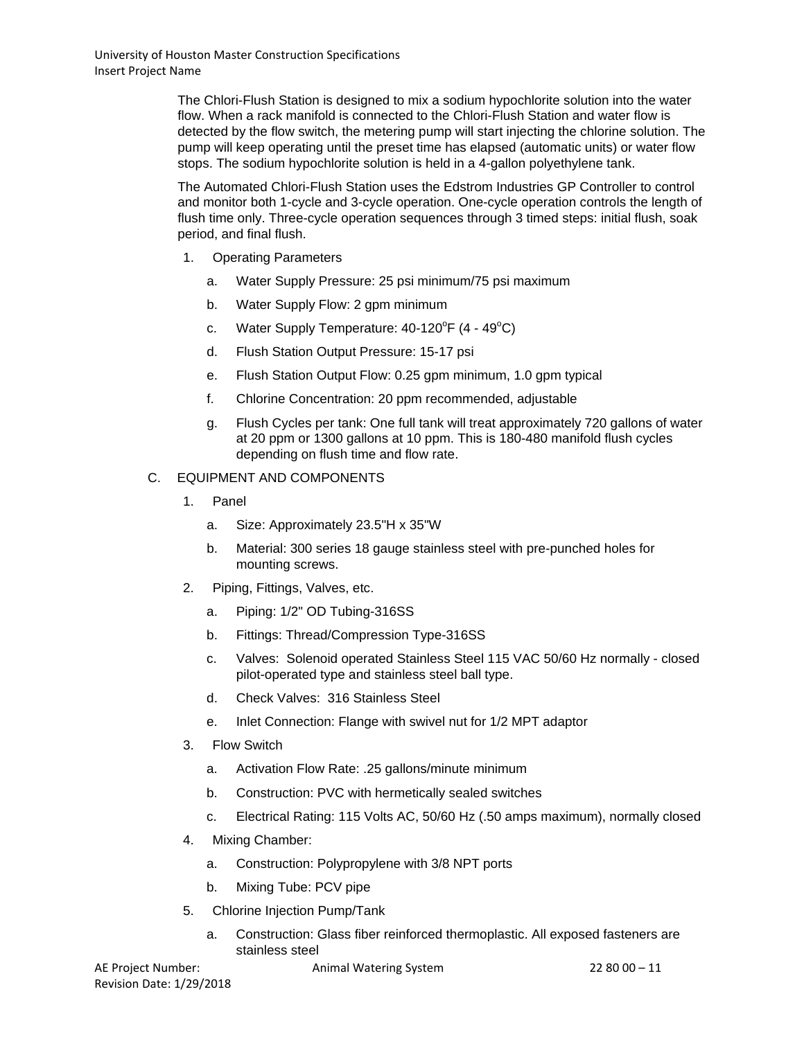The Chlori-Flush Station is designed to mix a sodium hypochlorite solution into the water flow. When a rack manifold is connected to the Chlori-Flush Station and water flow is detected by the flow switch, the metering pump will start injecting the chlorine solution. The pump will keep operating until the preset time has elapsed (automatic units) or water flow stops. The sodium hypochlorite solution is held in a 4-gallon polyethylene tank.

The Automated Chlori-Flush Station uses the Edstrom Industries GP Controller to control and monitor both 1-cycle and 3-cycle operation. One-cycle operation controls the length of flush time only. Three-cycle operation sequences through 3 timed steps: initial flush, soak period, and final flush.

- 1. Operating Parameters
	- a. Water Supply Pressure: 25 psi minimum/75 psi maximum
	- b. Water Supply Flow: 2 gpm minimum
	- c. Water Supply Temperature:  $40-120^{\circ}F(4 49^{\circ}C)$
	- d. Flush Station Output Pressure: 15-17 psi
	- e. Flush Station Output Flow: 0.25 gpm minimum, 1.0 gpm typical
	- f. Chlorine Concentration: 20 ppm recommended, adjustable
	- g. Flush Cycles per tank: One full tank will treat approximately 720 gallons of water at 20 ppm or 1300 gallons at 10 ppm. This is 180-480 manifold flush cycles depending on flush time and flow rate.
- C. EQUIPMENT AND COMPONENTS
	- 1. Panel
		- a. Size: Approximately 23.5"H x 35"W
		- b. Material: 300 series 18 gauge stainless steel with pre-punched holes for mounting screws.
	- 2. Piping, Fittings, Valves, etc.
		- a. Piping: 1/2" OD Tubing-316SS
		- b. Fittings: Thread/Compression Type-316SS
		- c. Valves: Solenoid operated Stainless Steel 115 VAC 50/60 Hz normally closed pilot-operated type and stainless steel ball type.
		- d. Check Valves: 316 Stainless Steel
		- e. Inlet Connection: Flange with swivel nut for 1/2 MPT adaptor
	- 3. Flow Switch
		- a. Activation Flow Rate: .25 gallons/minute minimum
		- b. Construction: PVC with hermetically sealed switches
		- c. Electrical Rating: 115 Volts AC, 50/60 Hz (.50 amps maximum), normally closed
	- 4. Mixing Chamber:
		- a. Construction: Polypropylene with 3/8 NPT ports
		- b. Mixing Tube: PCV pipe
	- 5. Chlorine Injection Pump/Tank
		- a. Construction: Glass fiber reinforced thermoplastic. All exposed fasteners are stainless steel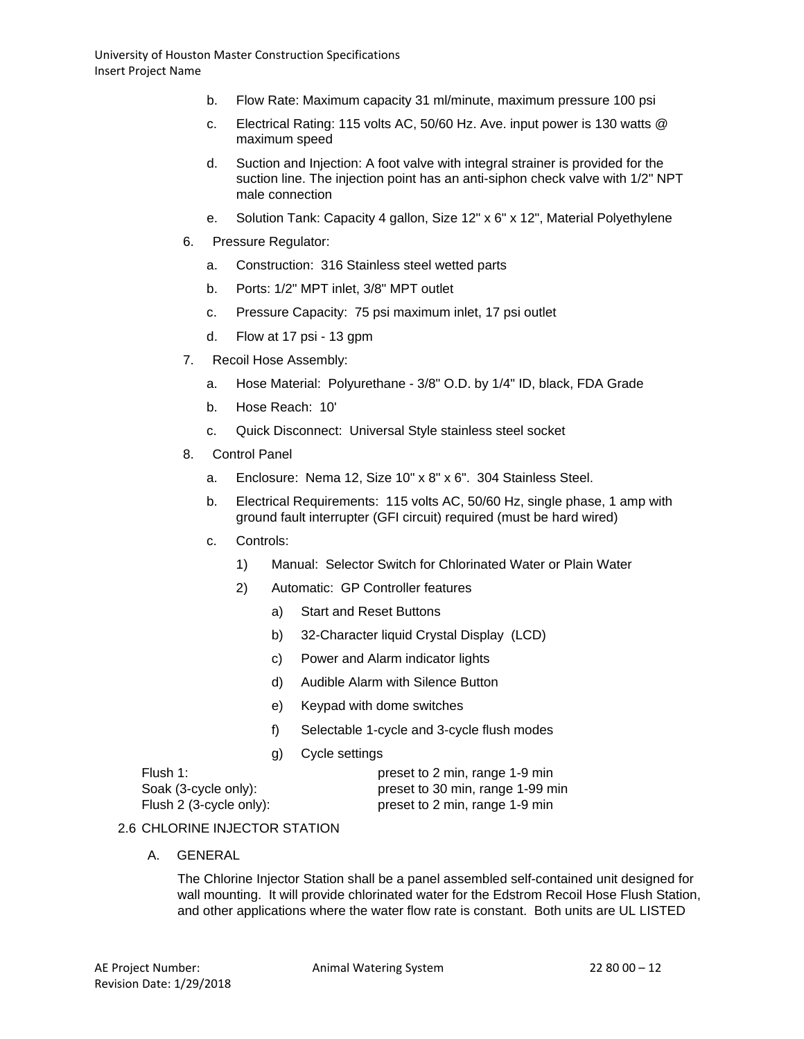- b. Flow Rate: Maximum capacity 31 ml/minute, maximum pressure 100 psi
- c. Electrical Rating: 115 volts AC, 50/60 Hz. Ave. input power is 130 watts @ maximum speed
- d. Suction and Injection: A foot valve with integral strainer is provided for the suction line. The injection point has an anti-siphon check valve with 1/2" NPT male connection
- e. Solution Tank: Capacity 4 gallon, Size 12" x 6" x 12", Material Polyethylene
- 6. Pressure Regulator:
	- a. Construction: 316 Stainless steel wetted parts
	- b. Ports: 1/2" MPT inlet, 3/8" MPT outlet
	- c. Pressure Capacity: 75 psi maximum inlet, 17 psi outlet
	- d. Flow at 17 psi 13 gpm
- 7. Recoil Hose Assembly:
	- a. Hose Material: Polyurethane 3/8" O.D. by 1/4" ID, black, FDA Grade
	- b. Hose Reach: 10'
	- c. Quick Disconnect: Universal Style stainless steel socket
- 8. Control Panel
	- a. Enclosure: Nema 12, Size 10" x 8" x 6". 304 Stainless Steel.
	- b. Electrical Requirements: 115 volts AC, 50/60 Hz, single phase, 1 amp with ground fault interrupter (GFI circuit) required (must be hard wired)
	- c. Controls:
		- 1) Manual: Selector Switch for Chlorinated Water or Plain Water
		- 2) Automatic: GP Controller features
			- a) Start and Reset Buttons
			- b) 32-Character liquid Crystal Display (LCD)
			- c) Power and Alarm indicator lights
			- d) Audible Alarm with Silence Button
			- e) Keypad with dome switches
			- f) Selectable 1-cycle and 3-cycle flush modes
			- g) Cycle settings

Flush 1: preset to 2 min, range 1-9 min Soak (3-cycle only): preset to 30 min, range 1-99 min Flush 2 (3-cycle only): preset to 2 min, range 1-9 min

## 2.6 CHLORINE INJECTOR STATION

A. GENERAL

The Chlorine Injector Station shall be a panel assembled self-contained unit designed for wall mounting. It will provide chlorinated water for the Edstrom Recoil Hose Flush Station, and other applications where the water flow rate is constant. Both units are UL LISTED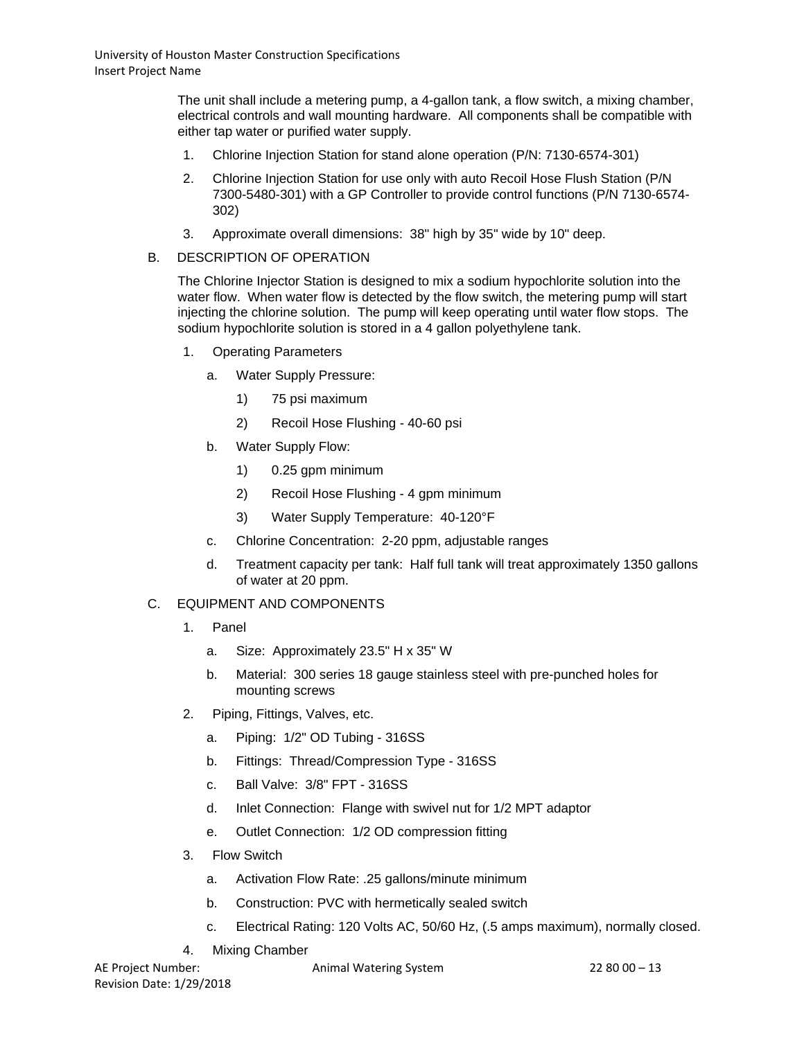The unit shall include a metering pump, a 4-gallon tank, a flow switch, a mixing chamber, electrical controls and wall mounting hardware. All components shall be compatible with either tap water or purified water supply.

- 1. Chlorine Injection Station for stand alone operation (P/N: 7130-6574-301)
- 2. Chlorine Injection Station for use only with auto Recoil Hose Flush Station (P/N 7300-5480-301) with a GP Controller to provide control functions (P/N 7130-6574- 302)
- 3. Approximate overall dimensions: 38" high by 35" wide by 10" deep.
- B. DESCRIPTION OF OPERATION

The Chlorine Injector Station is designed to mix a sodium hypochlorite solution into the water flow. When water flow is detected by the flow switch, the metering pump will start injecting the chlorine solution. The pump will keep operating until water flow stops. The sodium hypochlorite solution is stored in a 4 gallon polyethylene tank.

- 1. Operating Parameters
	- a. Water Supply Pressure:
		- 1) 75 psi maximum
		- 2) Recoil Hose Flushing 40-60 psi
	- b. Water Supply Flow:
		- 1) 0.25 gpm minimum
		- 2) Recoil Hose Flushing 4 gpm minimum
		- 3) Water Supply Temperature: 40-120°F
	- c. Chlorine Concentration: 2-20 ppm, adjustable ranges
	- d. Treatment capacity per tank: Half full tank will treat approximately 1350 gallons of water at 20 ppm.

# C. EQUIPMENT AND COMPONENTS

- 1. Panel
	- a. Size: Approximately 23.5" H x 35" W
	- b. Material: 300 series 18 gauge stainless steel with pre-punched holes for mounting screws
- 2. Piping, Fittings, Valves, etc.
	- a. Piping: 1/2" OD Tubing 316SS
	- b. Fittings: Thread/Compression Type 316SS
	- c. Ball Valve: 3/8" FPT 316SS
	- d. Inlet Connection: Flange with swivel nut for 1/2 MPT adaptor
	- e. Outlet Connection: 1/2 OD compression fitting
- 3. Flow Switch
	- a. Activation Flow Rate: .25 gallons/minute minimum
	- b. Construction: PVC with hermetically sealed switch
	- c. Electrical Rating: 120 Volts AC, 50/60 Hz, (.5 amps maximum), normally closed.
- 4. Mixing Chamber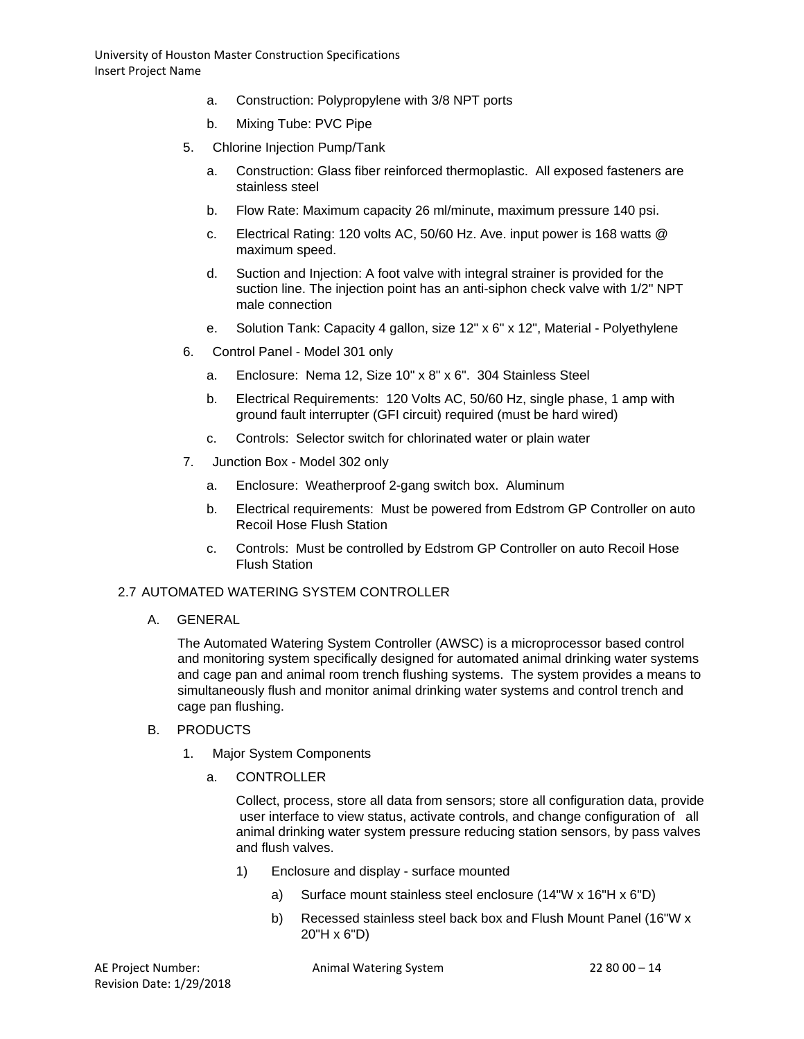- a. Construction: Polypropylene with 3/8 NPT ports
- b. Mixing Tube: PVC Pipe
- 5. Chlorine Injection Pump/Tank
	- a. Construction: Glass fiber reinforced thermoplastic. All exposed fasteners are stainless steel
	- b. Flow Rate: Maximum capacity 26 ml/minute, maximum pressure 140 psi.
	- c. Electrical Rating: 120 volts AC, 50/60 Hz. Ave. input power is 168 watts @ maximum speed.
	- d. Suction and Injection: A foot valve with integral strainer is provided for the suction line. The injection point has an anti-siphon check valve with 1/2" NPT male connection
	- e. Solution Tank: Capacity 4 gallon, size 12" x 6" x 12", Material Polyethylene
- 6. Control Panel Model 301 only
	- a. Enclosure: Nema 12, Size 10" x 8" x 6". 304 Stainless Steel
	- b. Electrical Requirements: 120 Volts AC, 50/60 Hz, single phase, 1 amp with ground fault interrupter (GFI circuit) required (must be hard wired)
	- c. Controls: Selector switch for chlorinated water or plain water
- 7. Junction Box Model 302 only
	- a. Enclosure: Weatherproof 2-gang switch box. Aluminum
	- b. Electrical requirements: Must be powered from Edstrom GP Controller on auto Recoil Hose Flush Station
	- c. Controls: Must be controlled by Edstrom GP Controller on auto Recoil Hose Flush Station

## 2.7 AUTOMATED WATERING SYSTEM CONTROLLER

A. GENERAL

The Automated Watering System Controller (AWSC) is a microprocessor based control and monitoring system specifically designed for automated animal drinking water systems and cage pan and animal room trench flushing systems. The system provides a means to simultaneously flush and monitor animal drinking water systems and control trench and cage pan flushing.

- B. PRODUCTS
	- 1. Major System Components
		- a. CONTROLLER

Collect, process, store all data from sensors; store all configuration data, provide user interface to view status, activate controls, and change configuration of all animal drinking water system pressure reducing station sensors, by pass valves and flush valves.

- 1) Enclosure and display surface mounted
	- a) Surface mount stainless steel enclosure (14"W x 16"H x 6"D)
	- b) Recessed stainless steel back box and Flush Mount Panel (16"W x 20"H x 6"D)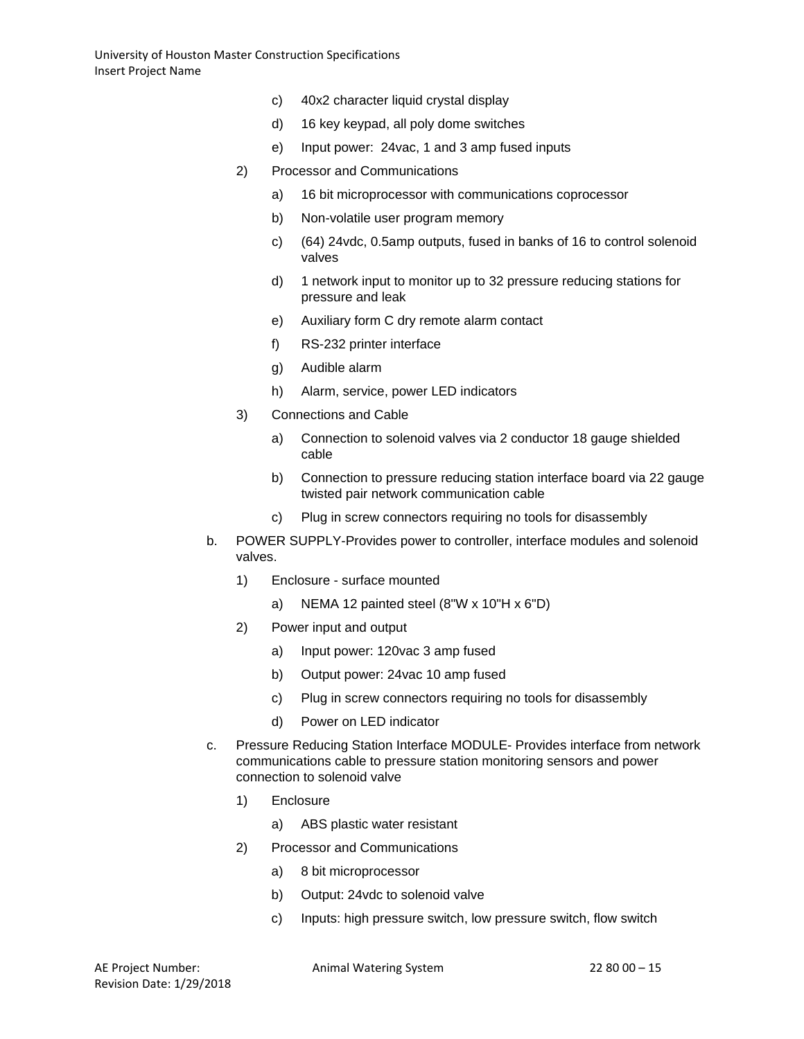- c) 40x2 character liquid crystal display
- d) 16 key keypad, all poly dome switches
- e) Input power: 24vac, 1 and 3 amp fused inputs
- 2) Processor and Communications
	- a) 16 bit microprocessor with communications coprocessor
	- b) Non-volatile user program memory
	- c) (64) 24vdc, 0.5amp outputs, fused in banks of 16 to control solenoid valves
	- d) 1 network input to monitor up to 32 pressure reducing stations for pressure and leak
	- e) Auxiliary form C dry remote alarm contact
	- f) RS-232 printer interface
	- g) Audible alarm
	- h) Alarm, service, power LED indicators
- 3) Connections and Cable
	- a) Connection to solenoid valves via 2 conductor 18 gauge shielded cable
	- b) Connection to pressure reducing station interface board via 22 gauge twisted pair network communication cable
	- c) Plug in screw connectors requiring no tools for disassembly
- b. POWER SUPPLY-Provides power to controller, interface modules and solenoid valves.
	- 1) Enclosure surface mounted
		- a) NEMA 12 painted steel (8"W x 10"H x 6"D)
	- 2) Power input and output
		- a) Input power: 120vac 3 amp fused
		- b) Output power: 24vac 10 amp fused
		- c) Plug in screw connectors requiring no tools for disassembly
		- d) Power on LED indicator
- c. Pressure Reducing Station Interface MODULE- Provides interface from network communications cable to pressure station monitoring sensors and power connection to solenoid valve
	- 1) Enclosure
		- a) ABS plastic water resistant
	- 2) Processor and Communications
		- a) 8 bit microprocessor
		- b) Output: 24vdc to solenoid valve
		- c) Inputs: high pressure switch, low pressure switch, flow switch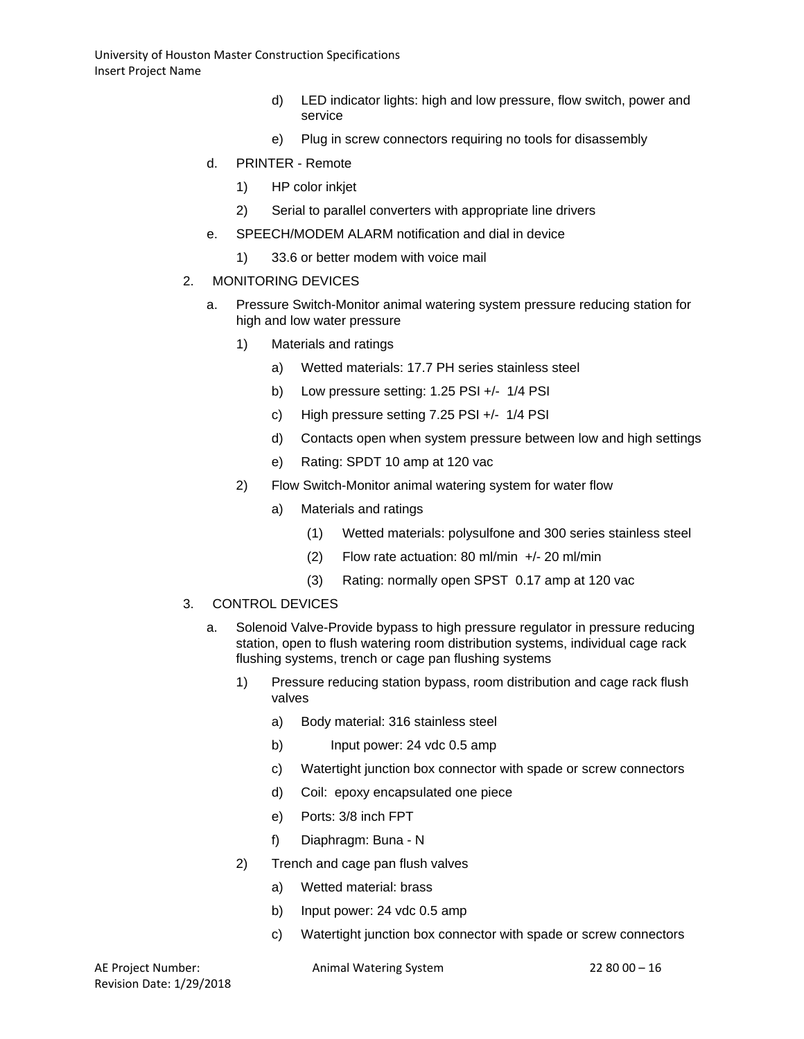- d) LED indicator lights: high and low pressure, flow switch, power and service
- e) Plug in screw connectors requiring no tools for disassembly
- d. PRINTER Remote
	- 1) HP color inkjet
	- 2) Serial to parallel converters with appropriate line drivers
- e. SPEECH/MODEM ALARM notification and dial in device
	- 1) 33.6 or better modem with voice mail

### 2. MONITORING DEVICES

- a. Pressure Switch-Monitor animal watering system pressure reducing station for high and low water pressure
	- 1) Materials and ratings
		- a) Wetted materials: 17.7 PH series stainless steel
		- b) Low pressure setting: 1.25 PSI +/- 1/4 PSI
		- c) High pressure setting 7.25 PSI +/- 1/4 PSI
		- d) Contacts open when system pressure between low and high settings
		- e) Rating: SPDT 10 amp at 120 vac
	- 2) Flow Switch-Monitor animal watering system for water flow
		- a) Materials and ratings
			- (1) Wetted materials: polysulfone and 300 series stainless steel
			- (2) Flow rate actuation: 80 ml/min +/- 20 ml/min
			- (3) Rating: normally open SPST 0.17 amp at 120 vac
- 3. CONTROL DEVICES
	- a. Solenoid Valve-Provide bypass to high pressure regulator in pressure reducing station, open to flush watering room distribution systems, individual cage rack flushing systems, trench or cage pan flushing systems
		- 1) Pressure reducing station bypass, room distribution and cage rack flush valves
			- a) Body material: 316 stainless steel
			- b) Input power: 24 vdc 0.5 amp
			- c) Watertight junction box connector with spade or screw connectors
			- d) Coil: epoxy encapsulated one piece
			- e) Ports: 3/8 inch FPT
			- f) Diaphragm: Buna N
		- 2) Trench and cage pan flush valves
			- a) Wetted material: brass
			- b) Input power: 24 vdc 0.5 amp
			- c) Watertight junction box connector with spade or screw connectors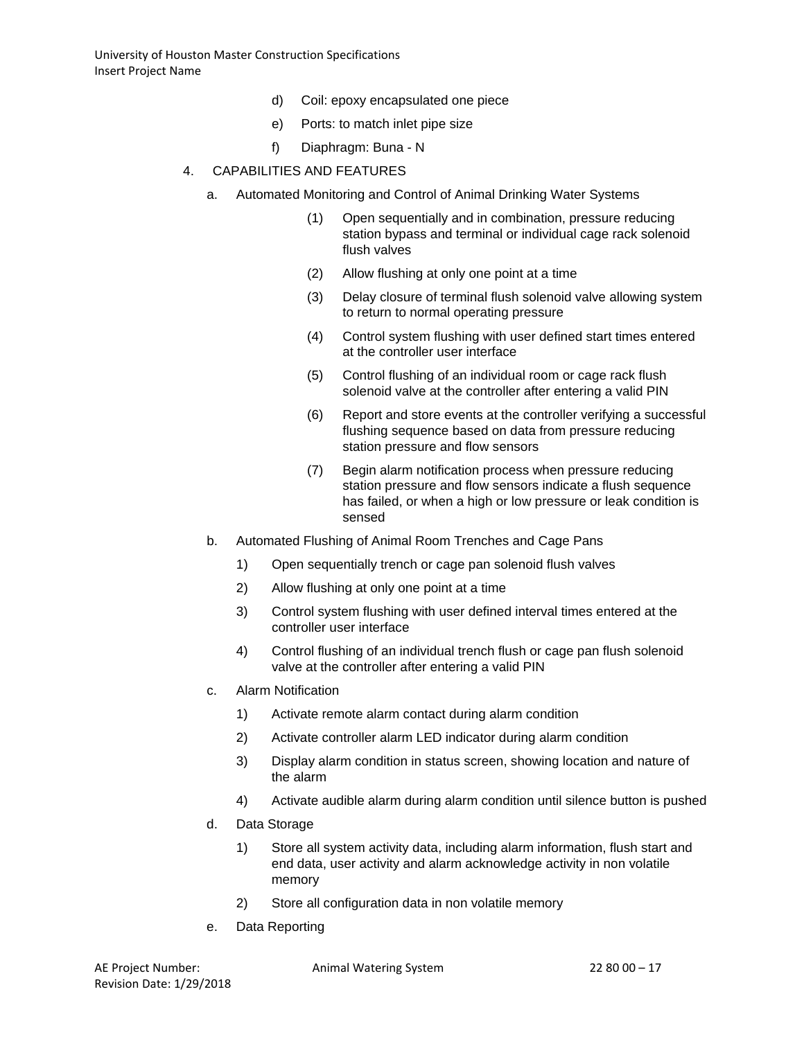- d) Coil: epoxy encapsulated one piece
- e) Ports: to match inlet pipe size
- f) Diaphragm: Buna N
- 4. CAPABILITIES AND FEATURES
	- a. Automated Monitoring and Control of Animal Drinking Water Systems
		- (1) Open sequentially and in combination, pressure reducing station bypass and terminal or individual cage rack solenoid flush valves
		- (2) Allow flushing at only one point at a time
		- (3) Delay closure of terminal flush solenoid valve allowing system to return to normal operating pressure
		- (4) Control system flushing with user defined start times entered at the controller user interface
		- (5) Control flushing of an individual room or cage rack flush solenoid valve at the controller after entering a valid PIN
		- (6) Report and store events at the controller verifying a successful flushing sequence based on data from pressure reducing station pressure and flow sensors
		- (7) Begin alarm notification process when pressure reducing station pressure and flow sensors indicate a flush sequence has failed, or when a high or low pressure or leak condition is sensed
	- b. Automated Flushing of Animal Room Trenches and Cage Pans
		- 1) Open sequentially trench or cage pan solenoid flush valves
		- 2) Allow flushing at only one point at a time
		- 3) Control system flushing with user defined interval times entered at the controller user interface
		- 4) Control flushing of an individual trench flush or cage pan flush solenoid valve at the controller after entering a valid PIN
	- c. Alarm Notification
		- 1) Activate remote alarm contact during alarm condition
		- 2) Activate controller alarm LED indicator during alarm condition
		- 3) Display alarm condition in status screen, showing location and nature of the alarm
		- 4) Activate audible alarm during alarm condition until silence button is pushed
	- d. Data Storage
		- 1) Store all system activity data, including alarm information, flush start and end data, user activity and alarm acknowledge activity in non volatile memory
		- 2) Store all configuration data in non volatile memory
	- e. Data Reporting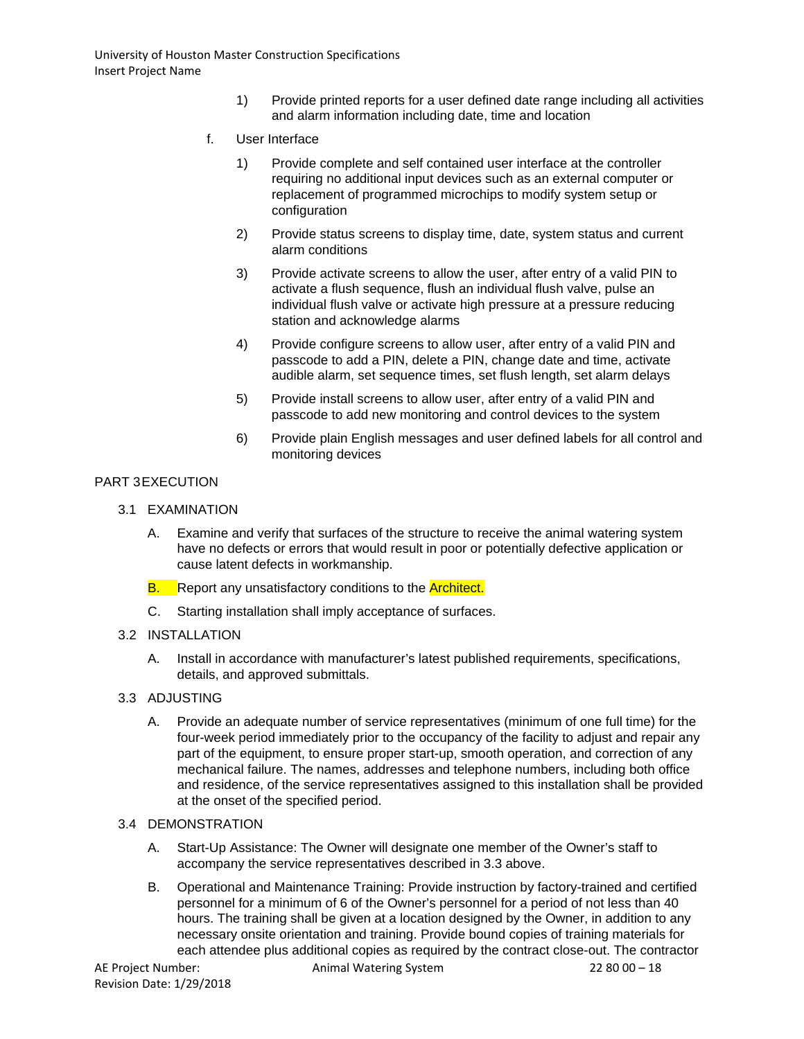- 1) Provide printed reports for a user defined date range including all activities and alarm information including date, time and location
- f. User Interface
	- 1) Provide complete and self contained user interface at the controller requiring no additional input devices such as an external computer or replacement of programmed microchips to modify system setup or configuration
	- 2) Provide status screens to display time, date, system status and current alarm conditions
	- 3) Provide activate screens to allow the user, after entry of a valid PIN to activate a flush sequence, flush an individual flush valve, pulse an individual flush valve or activate high pressure at a pressure reducing station and acknowledge alarms
	- 4) Provide configure screens to allow user, after entry of a valid PIN and passcode to add a PIN, delete a PIN, change date and time, activate audible alarm, set sequence times, set flush length, set alarm delays
	- 5) Provide install screens to allow user, after entry of a valid PIN and passcode to add new monitoring and control devices to the system
	- 6) Provide plain English messages and user defined labels for all control and monitoring devices

# PART 3EXECUTION

- 3.1 EXAMINATION
	- A. Examine and verify that surfaces of the structure to receive the animal watering system have no defects or errors that would result in poor or potentially defective application or cause latent defects in workmanship.
	- **B.** Report any unsatisfactory conditions to the **Architect.**
	- C. Starting installation shall imply acceptance of surfaces.
- 3.2 INSTALLATION
	- A. Install in accordance with manufacturer's latest published requirements, specifications, details, and approved submittals.
- 3.3 ADJUSTING
	- A. Provide an adequate number of service representatives (minimum of one full time) for the four-week period immediately prior to the occupancy of the facility to adjust and repair any part of the equipment, to ensure proper start-up, smooth operation, and correction of any mechanical failure. The names, addresses and telephone numbers, including both office and residence, of the service representatives assigned to this installation shall be provided at the onset of the specified period.
- 3.4 DEMONSTRATION
	- A. Start-Up Assistance: The Owner will designate one member of the Owner's staff to accompany the service representatives described in 3.3 above.
	- B. Operational and Maintenance Training: Provide instruction by factory-trained and certified personnel for a minimum of 6 of the Owner's personnel for a period of not less than 40 hours. The training shall be given at a location designed by the Owner, in addition to any necessary onsite orientation and training. Provide bound copies of training materials for each attendee plus additional copies as required by the contract close-out. The contractor